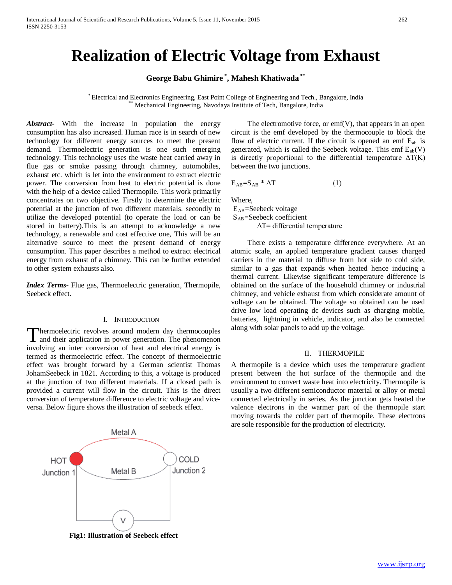# **Realization of Electric Voltage from Exhaust**

**George Babu Ghimire \* , Mahesh Khatiwada \*\***

\* Electrical and Electronics Engineering, East Point College of Engineering and Tech., Bangalore, India \*\* Mechanical Engineering, Navodaya Institute of Tech, Bangalore, India

*Abstract***-** With the increase in population the energy consumption has also increased. Human race is in search of new technology for different energy sources to meet the present demand. Thermoelectric generation is one such emerging technology. This technology uses the waste heat carried away in flue gas or smoke passing through chimney, automobiles, exhaust etc. which is let into the environment to extract electric power. The conversion from heat to electric potential is done with the help of a device called Thermopile. This work primarily concentrates on two objective. Firstly to determine the electric potential at the junction of two different materials. secondly to utilize the developed potential (to operate the load or can be stored in battery).This is an attempt to acknowledge a new technology, a renewable and cost effective one, This will be an alternative source to meet the present demand of energy consumption. This paper describes a method to extract electrical energy from exhaust of a chimney. This can be further extended to other system exhausts also.

*Index Terms*- Flue gas, Thermoelectric generation, Thermopile, Seebeck effect.

#### I. INTRODUCTION

hermoelectric revolves around modern day thermocouples and their application in power generation. The phenomenon Thermoelectric revolves around modern day thermocouples and their application in power generation. The phenomenon involving an inter conversion of heat and electrical energy is termed as thermoelectric effect. The concept of thermoelectric effect was brought forward by a German scientist Thomas JohamSeebeck in 1821. According to this, a voltage is produced at the junction of two different materials. If a closed path is provided a current will flow in the circuit. This is the direct conversion of temperature difference to electric voltage and viceversa. Below figure shows the illustration of seebeck effect.

Metal A COLD **HOT** Junction 2 Metal B Junction 1

**Fig1: Illustration of Seebeck effect**

 The electromotive force, or emf(V), that appears in an open circuit is the emf developed by the thermocouple to block the flow of electric current. If the circuit is opened an emf  $E_{ab}$  is generated, which is called the Seebeck voltage. This emf  $E_{ab}(V)$ is directly proportional to the differential temperature  $\Delta T(K)$ between the two junctions.

$$
E_{AB} = S_{AB} * \Delta T \tag{1}
$$

Where,

EAB=Seebeck voltage SAB=Seebeck coefficient  $\Delta T$ = differential temperature

 There exists a temperature difference everywhere. At an atomic scale, an applied temperature gradient causes charged carriers in the material to diffuse from hot side to cold side, similar to a gas that expands when heated hence inducing a thermal current. Likewise significant temperature difference is obtained on the surface of the household chimney or industrial chimney, and vehicle exhaust from which considerate amount of voltage can be obtained. The voltage so obtained can be used drive low load operating dc devices such as charging mobile, batteries, lightning in vehicle, indicator, and also be connected along with solar panels to add up the voltage.

## II. THERMOPILE

A thermopile is a device which uses the temperature gradient present between the hot surface of the thermopile and the environment to convert waste heat into electricity. Thermopile is usually a two different semiconductor material or alloy or metal connected electrically in series. As the junction gets heated the valence electrons in the warmer part of the thermopile start moving towards the colder part of thermopile. These electrons are sole responsible for the production of electricity.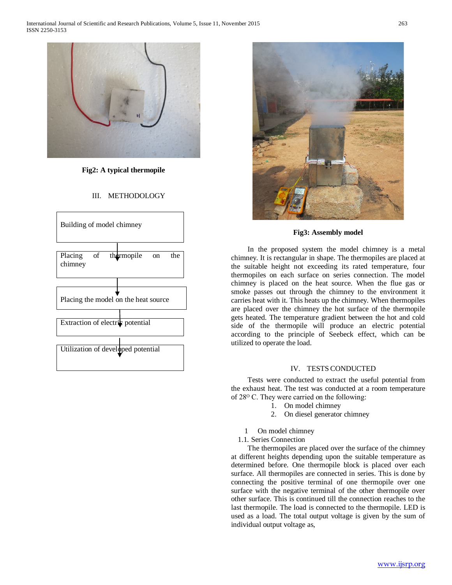

**Fig2: A typical thermopile**

## III. METHODOLOGY





**Fig3: Assembly model**

 In the proposed system the model chimney is a metal chimney. It is rectangular in shape. The thermopiles are placed at the suitable height not exceeding its rated temperature, four thermopiles on each surface on series connection. The model chimney is placed on the heat source. When the flue gas or smoke passes out through the chimney to the environment it carries heat with it. This heats up the chimney. When thermopiles are placed over the chimney the hot surface of the thermopile gets heated. The temperature gradient between the hot and cold side of the thermopile will produce an electric potential according to the principle of Seebeck effect, which can be utilized to operate the load.

### IV. TESTS CONDUCTED

 Tests were conducted to extract the useful potential from the exhaust heat. The test was conducted at a room temperature of 28<sup>o</sup> C. They were carried on the following:

- 1. On model chimney
- 2. On diesel generator chimney
- 1 On model chimney
- 1.1. Series Connection

 The thermopiles are placed over the surface of the chimney at different heights depending upon the suitable temperature as determined before. One thermopile block is placed over each surface. All thermopiles are connected in series. This is done by connecting the positive terminal of one thermopile over one surface with the negative terminal of the other thermopile over other surface. This is continued till the connection reaches to the last thermopile. The load is connected to the thermopile. LED is used as a load. The total output voltage is given by the sum of individual output voltage as,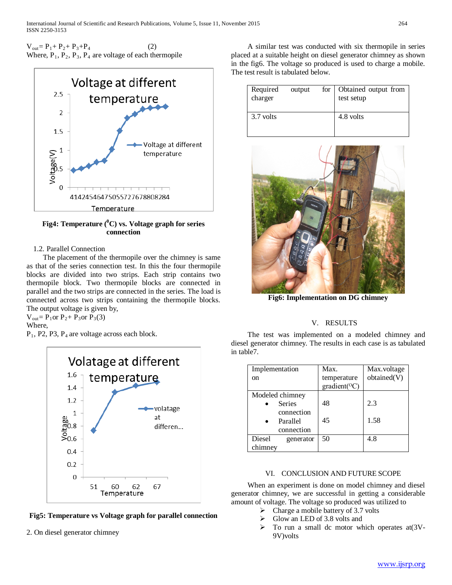$V_{\text{out}} = P_1 + P_2 + P_3 + P_4$  (2) Where,  $P_1$ ,  $P_2$ ,  $P_3$ ,  $P_4$  are voltage of each thermopile



Fig4: Temperature (<sup>0</sup>C) vs. Voltage graph for series **connection**

## 1.2. Parallel Connection

 The placement of the thermopile over the chimney is same as that of the series connection test. In this the four thermopile blocks are divided into two strips. Each strip contains two thermopile block. Two thermopile blocks are connected in parallel and the two strips are connected in the series. The load is connected across two strips containing the thermopile blocks. The output voltage is given by,

 $V_{\text{out}} = P_1$ or  $P_2 + P_3$ or  $P_3(3)$ Where,

 $P_1$ , P2, P3,  $P_4$  are voltage across each block.



**Fig5: Temperature vs Voltage graph for parallel connection**

2. On diesel generator chimney

 A similar test was conducted with six thermopile in series placed at a suitable height on diesel generator chimney as shown in the fig6. The voltage so produced is used to charge a mobile. The test result is tabulated below.

| Required<br>charger | output | for | Obtained output from<br>test setup |
|---------------------|--------|-----|------------------------------------|
| 3.7 volts           |        |     | 4.8 volts                          |



**Fig6: Implementation on DG chimney**

## V. RESULTS

 The test was implemented on a modeled chimney and diesel generator chimney. The results in each case is as tabulated in table7.

| Implementation      | Max.                        | Max.voltage |
|---------------------|-----------------------------|-------------|
| <sub>on</sub>       | temperature                 | obtained(V) |
|                     | $gradient$ <sup>(O</sup> C) |             |
| Modeled chimney     |                             |             |
| <b>Series</b>       | 48                          | 2.3         |
| connection          |                             |             |
| Parallel            | 45                          | 1.58        |
| connection          |                             |             |
| Diesel<br>generator | 50                          | 4.8         |
| chimney             |                             |             |

## VI. CONCLUSION AND FUTURE SCOPE

 When an experiment is done on model chimney and diesel generator chimney, we are successful in getting a considerable amount of voltage. The voltage so produced was utilized to

- $\triangleright$  Charge a mobile battery of 3.7 volts
- Glow an LED of 3.8 volts and
- $\triangleright$  To run a small dc motor which operates at (3V-9V)volts